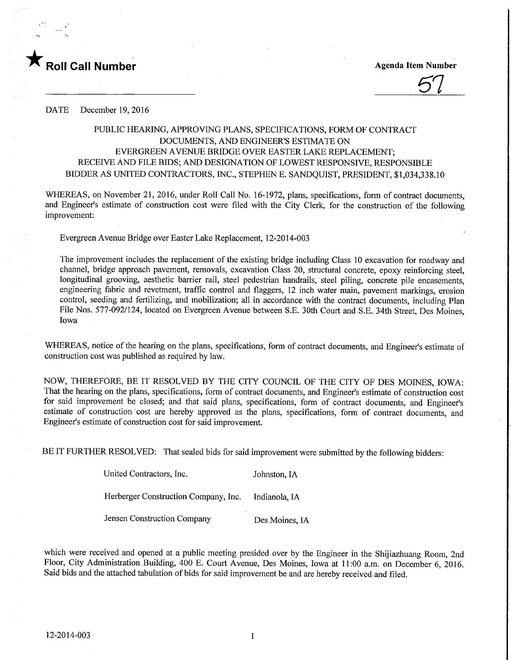

57

DATE December 19, 2016

## PUBLIC HEARING, APPROVING PLANS, SPECIFICATIONS, FORM OF CONTRACT DOCUMENTS, AND ENGINEER'S ESTIMATE ON EVERGREEN AVENUE BRIDGE OVER EASTER LAKE REPLACEMENT; RECEIVE AND FILE BIDS; AND DESIGNATION OF LOWEST RESPONSIVE, RESPONSIBLE BIDDER AS UNITED CONTRACTORS, INC., STEPHEN E. SANDQUIST, PRESIDENT, \$1,034,338.10

WHEREAS, on November 21, 2016, under Roll Call No. 16-1972, plans, specifications, form of contract documents, and Engineer's estimate of construction cost were filed with the City Clerk, for the construction of the following improvement:

Evergreen Avenue Bridge over Easter Lake Replacement, 12-2014-003

The improvement includes the replacement of the existing bridge including Class 10 excavation for roadway and channel, bridge approach pavement, removals, excavation Class 20, structural concrete, epoxy reinforcing steel, longitudinal grooving, aesthetic barrier rail, steel pedestrian handrails, steel piling, concrete pile encasements, engineering fabric and revetment, traffic control and flaggers, 12 inch water main, pavement markings, erosion control, seeding and fertilizing, and mobilization; all in accordance with the contract documents, including Plan File Nos. 577-092/124, located on Evergreen Avenue between S.E. 30th Court and S.E. 34th Street, Des Moines, Iowa

WHEREAS, notice of the hearing on the plans, specifications, form of contract documents, and Engineer's estimate of construction cost was published as required by law.

NOW, THEREFORE, BE IT RESOLVED BY THE CITY COUNCIL OF THE CITY OF DES MOINES, IOWA: That the hearing on the plans, specifications, form of contract documents, and Engineer's estimate of construction cost for said improvement be closed; and that said plans, specifications, form of contract documents, and Engineer's estimate of construction cost are hereby approved as the plans, specifications, form of contract documents, and Engineer's estimate of construction cost for said improvement.

BE IT FURTHER RESOLVED: That sealed bids for said improvement were submitted by the following bidders:

| United Contractors, Inc.             | Johnston, IA   |
|--------------------------------------|----------------|
| Herberger Construction Company, Inc. | Indianola, IA  |
| Jensen Construction Company          | Des Moines, IA |

which were received and opened at a public meeting presided over by the Engineer in the Shijiazhuang Room, 2nd Floor, City Administration Building, 400 E. Court Avenue, Des Moines, Iowa at 11:00 a.m. on December 6, 2016. Said bids and the attached tabulation of bids for said improvement be and are hereby received and filed.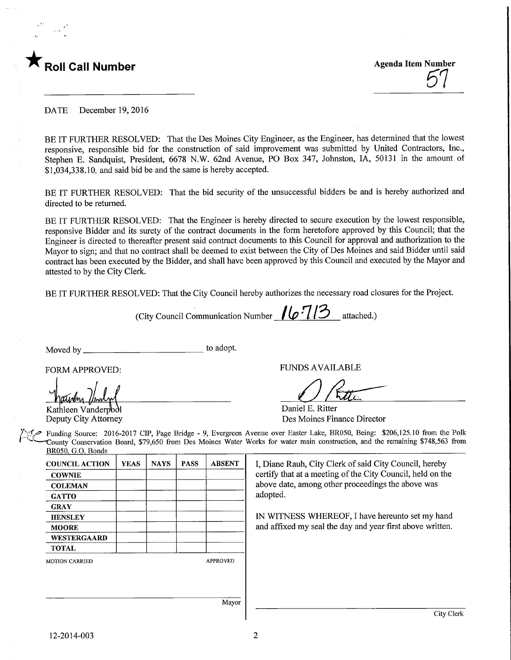

 $\mathcal{O}'$ 

DATE December 19, 2016

BE IT FURTHER RESOLVED: That the Des Moines City Engineer, as the Engineer, has determined that the lowest responsive, responsible bid for the construction of said improvement was submitted by United Contractors, Inc., Stephen E. Sandquist, President, 6678 N.W. 62nd Avenue, PO Box 347, Johnston, IA, 50131 in the amount of \$1,034,338.10, and said bid be and the same is hereby accepted.

BE IT FURTHER RESOLVED: That the bid security of the unsuccessful bidders be and is hereby authorized and directed to be returned.

BE IT FURTHER RESOLVED: That the Engineer is hereby directed to secure execution by the lowest responsible, responsive Bidder and its surety of the contract documents in the form heretofore approved by this Council; that the Engineer is directed to thereafter present said contract documents to this Council for approval and authorization to the Mayor to sign; and that no contract shall be deemed to exist between the City of Des Moines and said Bidder until said contract has been executed by the Bidder, and shall have been approved by this Council and executed by the Mayor and attested to by the City Clerk.

BE IT FURTHER RESOLVED: That the City Council hereby authorizes the necessary road closures for the Project.

(City Council Communication Number  $\mu$   $\sim$  113 attached.)

Moved by to adopt.

Middolm

Kathleen Vanderpool Deputy City Attorney

FORM APPROVED: FUNDS AVAILABLE

 $O$  Rtte

and affixed my seal the day and year first above written.

Daniel E. Ritter Des Moines Finance Director

Funding Source: 2016-2017 CIP, Page Bridge - 9, Evergreen Avenue over Easter Lake, BR050, Being: \$206,125.10 from the Polk '•—County Conservation Board, \$79,650 from Des Moines Water Works for water main constmction, and the remaining \$748,563 from BR050. G.O. Bonds

> I, Diane Rauh, City Clerk of said City Council, hereby certify that at a meeting of the City Council, held on the above date, among other proceedings the above was adopted. IN WITNESS WHEREOF, I have hereunto set my hand

COUNCIL ACTION **COWNIE COLEMAN GATTO GRAY HENSLEY MOORE** WESTERGAARD TOTAL MOTION CARRIED YEAS | NAYS | PASS | ABSENT APPROVED

Mayor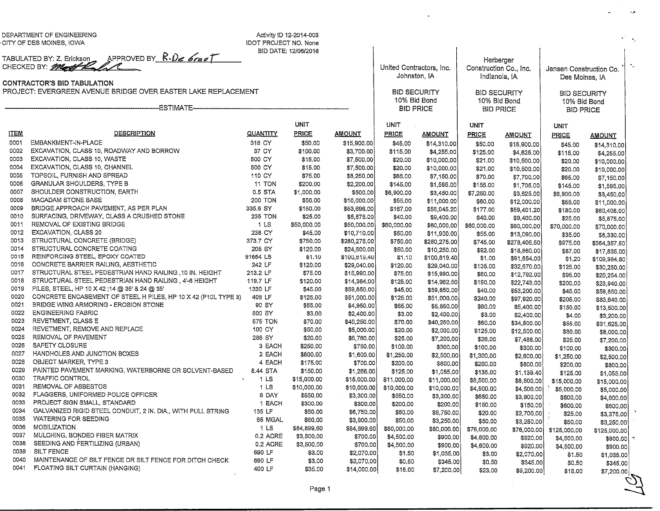DEPARTMENT OF ENGINEERINGCITY OF DES MOINES, IOWA

Activity ID 12-2014-003 IDOT PROJECT NO. NoneBID DATE: 12/06/2016

> Jnited Contractors, Inc.Johnston, IABID SECURITY10% Bid Bond

Herberger Construction Co., Inc. Indianola, IA

lensen Construction Co.Des Moines, IA**BID SECURITY** 

A.R

 $\gamma_{\rm c}$ 

BID SECURITY10% Bid Bond

TABULATED BY: 2. ERICKSON APPROVED BY R.*Ve* 6000 |

CONTRACTOR'S BID TABULATIONPROJECT: EVERGREEN AVENUE BRIDGE OVER EASTER LAKE REPLACEMENT

|             |                                                                |                                 |             |               | 10% Bid Bond<br><b>BID PRICE</b> |               | 10% Bid Bond<br><b>BID PRICE</b> |               | 10% Bid Bond<br><b>BID PRICE</b> |                           |
|-------------|----------------------------------------------------------------|---------------------------------|-------------|---------------|----------------------------------|---------------|----------------------------------|---------------|----------------------------------|---------------------------|
|             |                                                                |                                 |             |               |                                  |               |                                  |               |                                  |                           |
|             |                                                                |                                 | <b>UNIT</b> |               | <b>UNIT</b>                      |               | <b>UNIT</b>                      |               | UNIT                             |                           |
| <b>ITEM</b> | <b>DESCRIPTION</b>                                             | <b>QUANTITY</b>                 | PRICE       | <b>AMOUNT</b> | <b>PRICE</b>                     | <b>AMOUNT</b> | PRICE                            | <b>AMOUNT</b> | PRICE                            | <b>AMOUNT</b>             |
| 0001        | EMBANKMENT-IN-PLACE                                            | 318 CY                          | \$50.00     | \$15,900.00   | \$45.00                          | \$14 310.00   | \$50.00                          | \$15,900.00   | \$45.00                          | \$14,310.00               |
| 0002        | EXCAVATION, CLASS 10, ROADWAY AND BORROW                       | 37 CY                           | \$100.00    | \$3,700.00    | \$115.00                         | \$4,255.00    | \$125,00                         | \$4,625.00    | \$115.00                         | \$4,255.00                |
| 0003        | EXCAVATION, CLASS 10, WASTE                                    | 500 CY                          | \$15.00     | \$7,500.00    | \$20.00                          | \$10,000.00   | \$21.00                          | \$10,500,00   | \$20.00                          | \$10,000.00               |
| 0004        | EXCAVATION, CLASS 10, CHANNEL                                  | 500 CY                          | \$15.00     | \$7,500.00    | \$20,00                          | \$10,000,00   | \$21.00                          | \$10,500.00   | \$20.00                          | \$10,000.00               |
| 0005        | TOPSOIL, FURNISH AND SPREAD                                    | 110 CY                          | \$75,00     | \$8,250.00    | \$65,00                          | \$7,150.00    | \$70.00                          | \$7,700.00    | \$65.00                          | \$7,150.00                |
| 0006        | GRANULAR SHOULDERS, TYPE B                                     | <b>11 TON</b>                   | \$200.00    | \$2,200.00    | \$145.00                         | \$1,595.00    | \$155.00                         | \$1,705.00    | \$145,00                         | \$1,595.00                |
| 0007        | SHOULDER CONSTRUCTION, EARTH                                   | 0.5 STA                         | \$1,000.00  | \$500,00      | \$6,900.00                       | \$3,450.00    | \$7,250.00                       | \$3,625.00    | \$6,900.00                       | \$3,450.00                |
| 0008        | MACADAM STONE BASE                                             | <b>200 TON</b>                  | \$50.00     | \$10,000.00   | \$55,00                          | \$11,000.00   | \$60,00                          | \$12,000.00   | \$55.00                          | \$11,000.00               |
| 0009        | BRIDGE APPROACH PAVEMENT, AS PER PLAN                          | 335.6 SY                        | \$160.00    | \$53,696,00   | \$167.00                         | \$56.045.20   | \$177,00                         | \$59,401.20   | \$180.00                         | \$60,408.00               |
| 0010        | SURFACING, DRIVEWAY, CLASS A CRUSHED STONE                     | 235 TON                         | \$25.00     | \$5,875.00    | \$40,00                          | \$9,400.00    | \$40.00                          | \$9,400.00    | \$25.00                          | \$5,875.00                |
| 0011        | REMOVAL OF EXISTING BRIDGE                                     | 1 LS                            | \$50,000.00 | \$50,000,00   | \$60,000.00                      | \$60,000,00   | \$60,000.00                      | \$60,000.00   | \$70,000,00                      | \$70,000.00               |
| 0012        | EXCAVATION, CLASS 20                                           | 238 CY                          | \$45.00     | \$10,710.00   | \$50.00                          | \$11,900.00   | \$55.00                          | \$13,090.00   | \$35.00                          | \$8,330.00                |
| 0013        | STRUCTURAL CONCRETE (BRIDGE)                                   | 373.7 CY                        | \$750,00    | \$280,275.00  | \$750.00                         | \$280,275.00  | \$745.00                         | \$278,406.50  | \$975.00                         | \$364,357.50              |
| 0014        | STRUCTURAL CONCRETE COATING                                    | 205 SY                          | \$120.00    | \$24,600.00   | \$50.00                          | \$10,250,00   | \$92.00                          | \$18,860.00   | \$87.00                          | \$17,835.00               |
| 0015        | REINFORCING STEEL, EPOXY COATED                                | 91654 LB                        | \$1.10      | \$100,819.40  | \$1.10                           | \$100,819.40  | \$1.00                           | \$91,654.00   | \$1.20                           | \$109,984.80              |
| 0016        | CONCRETE BARRIER RAILING, AESTHETIC                            | 242 LF                          | \$120.00    | \$29,040.00   | \$120,00                         | \$29,040.00   | \$135.00                         | \$32,670.00   | \$125.00                         | \$30,250.00               |
| 0017        | STRUCTURAL STEEL PEDESTRIAN HAND RAILING ,10 IN. HEIGHT        | 213.2 LF                        | \$75.00     | \$15,990.00   | \$75.00                          | \$15,990.00   | \$60.00                          | \$12,792.00   | \$95.00                          | \$20,254.00               |
| 0018        | STRUCTURAL STEEL PEDESTRIAN HAND RAILING, 4'-6 HEIGHT          | 119.7 LF                        | \$120.00    | \$14,364.00   | \$125.00                         | \$14,962,50   | \$190.00                         | \$22,743.00   | \$200.00                         | \$23,940.00               |
| 0019        | PILES, STEEL, HP 10 X 42 ; 14 @ 35' & 24 @ 35'                 | 1330 LF                         | \$45.00     | \$59,850,00   | \$45,00                          | \$59,850.00   | \$40.00                          | \$53,200.00   | \$45.00                          | \$59,850.00               |
| 0020        | CONCRETE ENCASEMENT OF STEEL H PILES, HP 10 X 42 (P10L TYPE 3) | 408 LF                          | \$125.00    | \$51,000.00   | \$125.00                         | \$51,000.00   | \$240.00                         | \$97,920.00   | \$205.00                         | \$83,640.00               |
| 0021        | BRIDGE WING ARMORING - EROSION STONE                           | 90 SY                           | \$55.00     | \$4,950,00    | \$65,00                          | \$5,850.00    | \$60.00                          | \$5,400.00    | \$150,00                         | \$13,500.00               |
| 0022        | <b>ENGINEERING FABRIC</b>                                      | 800 SY                          | \$3.00      | \$2,400.00    | \$3,00                           | \$2,400.00    | \$3,00                           | \$2,400.00    | \$4.00                           | \$3,200.00                |
| 0023        | REVETMENT, CLASS E                                             | <b>575 TON</b>                  | \$70.00     | \$40,250.00   | \$70.00                          | \$40,250,00   | \$60,00                          | \$34,500.00   | \$55.00                          | \$31,625.00               |
| 0024        | REVETMENT, REMOVE AND REPLACE                                  | 100 CY                          | \$50.00     | \$5,000.00    | \$20.00                          | \$2,000.00    | \$125.00                         | \$12,500.00   | \$80.00                          | \$8,000.00                |
| 0025        | REMOVAL OF PAVEMENT                                            | 288 SY                          | \$20.00     | \$5,760.00    | \$25.00                          | \$7,200,00    | \$26.00                          | \$7,488.00    | \$25.00                          | \$7,200.00                |
| 0026        | SAFETY CLOSURE                                                 | 3 EACH                          | \$250.00    | \$750.00      | \$100.00                         | \$300.00      | \$100.00                         | \$300,00      | \$100.00                         | \$300.00                  |
| 0027        | HANDHOLES AND JUNCTION BOXES                                   | 2 EACH                          | \$800.00    | \$1,600.00    | \$1,250.00                       | \$2,500.00    | \$1,300.00                       | \$2,600.00    | \$1,250.00                       | \$2,500.00                |
| 0028        | OBJECT MARKER, TYPE 3                                          | 4 EACH                          | \$175.00    | \$700.00      | \$200.00                         | \$800,00      | \$200.00                         | \$800.00      | \$200.00                         | \$800.00                  |
| 0029        | PAINTED PAVEMENT MARKING, WATERBORNE OR SOLVENT-BASED          | 8.44 STA                        | \$150.00    | \$1,266.00    | \$125.00                         | \$1,055,00    | \$135.00                         | \$1,139.40    | \$125.00                         | \$1,055.00                |
| 0030        | <b>TRAFFIC CONTROL</b>                                         | 1 <sub>LS</sub><br>$\mathbf{u}$ | \$15,000.00 | \$15,000.00   | \$11,000.00                      | \$11,000.00   | \$8,500.00                       | \$8,500.00    | \$15,000,00                      |                           |
| 0031        | REMOVAL OF ASBESTOS                                            | 1 <sub>LS</sub>                 | \$10,000.00 | \$10,000,00   | \$10,000.00                      | \$10,000.00   | \$4,500.00                       | \$4,500.00    | \$5,000.00                       | \$15,000.00<br>\$5,000,00 |
| 0032        | FLAGGERS, UNIFORMED POLICE OFFICER                             | 6 DAY                           | \$550,00    | \$3,300.00    | \$550,00                         | \$3,300.00    | \$650.00                         | \$3,900.00    | \$800,00                         |                           |
| 0033        | PROJECT SIGN SMALL, STANDARD                                   | 1 EACH                          | \$300,00    | \$300,00      | \$200,00                         | \$200.00      | \$150.00                         | \$150.00      | \$600,00                         | \$4,800.00<br>\$600.00    |
| 0034        | GALVANIZED RIGID STEEL CONDUIT, 2 IN, DIA., WITH PULL STRING   | 135 LF                          | \$50.00     | \$6,750.00    | \$50.00                          | \$6,750.00    | \$20.00                          | \$2,700.00    | \$25,00                          |                           |
| 0035        | <b>WATERING FOR SEEDING</b>                                    | 65 MGAL                         | \$60.00     | \$3,900.00    | \$50.00                          | \$3,250,00    | \$50.00                          | \$3,250.00    |                                  | \$3,375.00                |
| 0036        | <b>MOBILIZATION</b>                                            | 1 LS                            | \$84,899.60 | \$84,899,60   | \$80,000.00                      | \$80,000.00   | \$76,000.00                      | \$76,000.00   | \$50,00<br>\$125,000.00          | \$3,250.00                |
| 0037        | MULCHING, BONDED FIBER MATRIX                                  | 0.2 ACRE                        | \$3,500.00  | \$700.00      | \$4,500.00                       | \$900.00      | \$4,600.00                       | \$920.00      |                                  | \$125,000,00              |
| 0038        | SEEDING AND FERTILIZING (URBAN)                                | 0.2 ACRE                        | \$3,500,00  | \$700.00      | \$4,500.00                       | \$900,00      | \$4,600.00                       | \$920,00      | \$4,500.00                       | \$900.00                  |
| 0039        | SILT FENCE                                                     | 690 LF                          | \$3.00      | \$2,070.00    | \$1.50                           | \$1,035,00    | \$3,00                           | \$2,070.00    | \$4,500.00                       | \$900.00                  |
| 0040        | MAINTENANCE OF SILT FENCE OR SILT FENCE FOR DITCH CHECK        | 690 LF                          | \$3.00      | \$2,070,00    | \$0.50                           | \$345.00      | \$0.50                           | \$345.00      | \$1.50                           | \$1,035,00                |
| 0041        | FLOATING SILT CURTAIN (HANGING)                                | 400 LF                          | \$35.00     | \$14,000.00   | \$18.00                          | \$7,200.00    | \$23.00                          | \$9,200.00    | \$0.50                           | \$345.00                  |
|             |                                                                |                                 |             |               |                                  |               |                                  |               | \$18.00                          | \$7,200.00<br>$\sim$      |